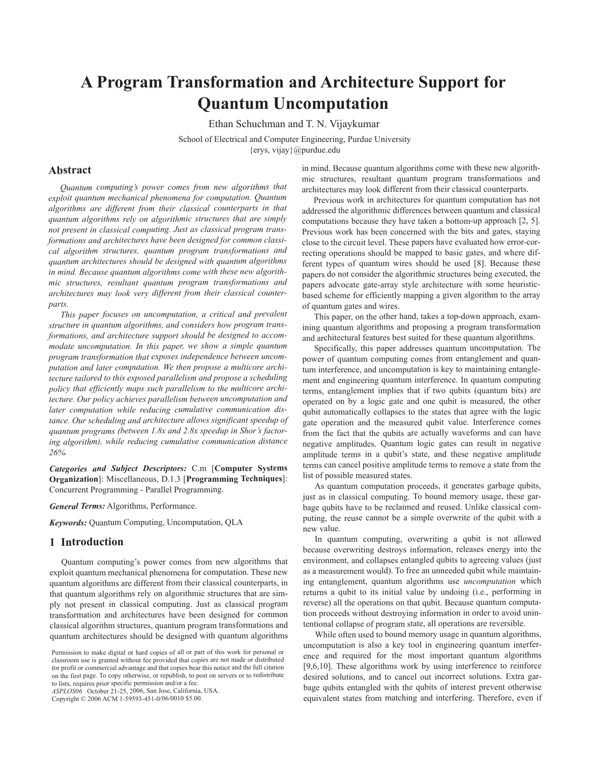# **A Program Transformation and Architecture Support for Quantum Uncomputation**

Ethan Schuchman and T. N. Vijaykumar

School of Electrical and Computer Engineering, Purdue University {erys, vijay}@purdue.edu

# **Abstract**

*Quantum computing's power comes from new algorithms that exploit quantum mechanical <sup>p</sup>henomena for computation. Quantum algorithms are different from their classical counterparts in that quantum algorithms rely on algorithmic structures that are simply not presen<sup>t</sup> in classical computing. Just as classical program transformations and architectures have been designed for common classical algorithm structures, quantum program transformations and quantum architectures should be designed with quantum algorithms in mind. Because quantum algorithms come with these new algorithmic structures, resultant quantum program transformations and architectures may look very different from their classical counterparts.*

*This paper focuses on uncomputation, <sup>a</sup> critical and prevalent structure in quantum algorithms, and considers how program transformations, and architecture suppor<sup>t</sup> should be designed to accommodate uncomputation. In this paper, we show <sup>a</sup> simple quantum program transformation that exposes independence between uncomputation and later computation. We then propose <sup>a</sup> multicore architecture tailored to this exposed parallelism and propose <sup>a</sup> scheduling policy that efficiently maps such parallelism to the multicore architecture. Our policy achieves parallelism between uncomputation and later computation while reducing cumulative communication distance. Our scheduling and architecture allows significant speedup of quantum programs (between 1.8x and 2.8x speedup in Shor's factoring algorithm), while reducing cumulative communication distance 26%.*

*Categories and Subject Descriptors:* C.m [**Computer Systems Organization**]: Miscellaneous, D.1.3 [**Programming Techniques**]: Concurrent Programming - Parallel Programming.

*General Terms:* Algorithms, Performance.

*Keywords:* Quantum Computing, Uncomputation, QLA

# **1 Introduction**

Quantum computing's power comes from new algorithms that exploit quantum mechanical <sup>p</sup>henomena for computation. These new quantum algorithms are different from their classical counterparts, in that quantum algorithms rely on algorithmic structures that are sim<sup>p</sup>ly not presen<sup>t</sup> in classical computing. Just as classical program transformation and architectures have been designed for common classical algorithm structures, quantum program transformations and quantum architectures should be designed with quantum algorithms

*ASPLOS06* October 21-25, 2006, San Jose, California, USA.

Copyright © <sup>2006</sup> ACM 1-59593-451-0/06/0010 \$5.00.

in mind. Because quantum algorithms come with these new algorithmic structures, resultant quantum program transformations and architectures may look different from their classical counterparts.

Previous work in architectures for quantum computation has not addressed the algorithmic differences between quantum and classical computations because they have taken <sup>a</sup> bottom-up approach [2, 5]. Previous work has been concerned with the bits and gates, staying close to the circuit level. These papers have evaluated how error-correcting operations should be mapped to basic gates, and where different types of quantum wires should be used [8]. Because these papers do not consider the algorithmic structures being executed, the papers advocate gate-array style architecture with some heuristicbased scheme for efficiently mapping <sup>a</sup> given algorithm to the array of quantum gates and wires.

This paper, on the other hand, takes <sup>a</sup> top-down approach, examining quantum algorithms and proposing <sup>a</sup> program transformation and architectural features best suited for these quantum algorithms.

Specifically, this paper addresses quantum uncomputation. The power of quantum computing comes from entanglement and quantum interference, and uncomputation is key to maintaining entanglement and engineering quantum interference. In quantum computing terms, entanglement implies that if two qubits (quantum bits) are operated on by <sup>a</sup> logic gate and one qubit is measured, the other qubit automatically collapses to the states that agree with the logic gate operation and the measured qubit value. Interference comes from the fact that the qubits are actually waveforms and can have negative amplitudes. Quantum logic gates can result in negative amplitude terms in <sup>a</sup> qubit's state, and these negative amplitude terms can cancel positive amplitude terms to remove <sup>a</sup> state from the list of possible measured states.

As quantum computation proceeds, it generates garbage qubits, just as in classical computing. To bound memory usage, these garbage qubits have to be reclaimed and reused. Unlike classical computing, the reuse cannot be <sup>a</sup> simple overwrite of the qubit with <sup>a</sup> new value.

In quantum computing, overwriting <sup>a</sup> qubit is not allowed because overwriting destroys information, releases energy into the environment, and collapses entangled qubits to agreeing values (just as <sup>a</sup> measurement would). To free an unneeded qubit while maintaining entanglement, quantum algorithms use *uncomputation* which returns <sup>a</sup> qubit to its initial value by undoing (i.e., performing in reverse) all the operations on that qubit. Because quantum computation proceeds without destroying information in order to avoid unintentional collapse of program state, all operations are reversible.

While often used to bound memory usage in quantum algorithms, uncomputation is also <sup>a</sup> key tool in engineering quantum interference and required for the most important quantum algorithms [9,6,10]. These algorithms work by using interference to reinforce desired solutions, and to cancel out incorrect solutions. Extra garbage qubits entangled with the qubits of interest preven<sup>t</sup> otherwise equivalent states from matching and interfering. Therefore, even if

Permission to make digital or hard copies of all or par<sup>t</sup> of this work for personal or classroom use is granted without fee provided that copies are not made or distributed for profit or commercial advantage and that copies bear this notice and the full citation on the first page. To copy otherwise, or republish, to pos<sup>t</sup> on servers or to redistribute to lists, requires prior specific permission and/or <sup>a</sup> fee.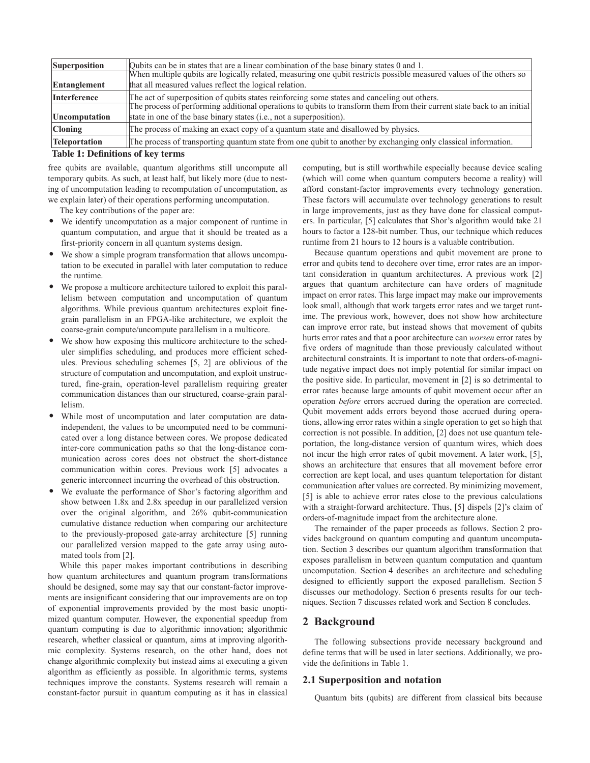| Superposition                            | Qubits can be in states that are a linear combination of the base binary states $0$ and $1$ .                           |
|------------------------------------------|-------------------------------------------------------------------------------------------------------------------------|
|                                          | When multiple qubits are logically related, measuring one qubit restricts possible measured values of the others so     |
| Entanglement                             | that all measured values reflect the logical relation.                                                                  |
| <i>Interference</i>                      | The act of superposition of qubits states reinforcing some states and canceling out others.                             |
|                                          | The process of performing additional operations to qubits to transform them from their current state back to an initial |
| <i><u><b>Uncomputation</b></u></i>       | state in one of the base binary states (i.e., not a superposition).                                                     |
| $\mathbf{\textcolor{blue}{\big }Coning}$ | The process of making an exact copy of a quantum state and disallowed by physics.                                       |
| Teleportation                            | The process of transporting quantum state from one qubit to another by exchanging only classical information.           |

#### **Table 1: Definitions of key terms**

free qubits are available, quantum algorithms still uncompute all temporary qubits. As such, at least half, but likely more (due to nesting of uncomputation leading to recomputation of uncomputation, as we explain later) of their operations performing uncomputation.

The key contributions of the paper are:

- **•** We identify uncomputation as a major component of runtime in quantum computation, and argue that it should be treated as a first-priority concern in all quantum systems design.
- **•** We show a simple program transformation that allows uncomputation to be executed in parallel with later computation to reduce the runtime.
- **•** We propose a multicore architecture tailored to exploit this parallelism between computation and uncomputation of quantum algorithms. While previous quantum architectures exploit finegrain parallelism in an FPGA-like architecture, we exploit the coarse-grain compute/uncompute parallelism in a multicore.
- We show how exposing this multicore architecture to the scheduler simplifies scheduling, and produces more efficient schedules. Previous scheduling schemes [5, 2] are oblivious of the structure of computation and uncomputation, and exploit unstructured, fine-grain, operation-level parallelism requiring greater communication distances than our structured, coarse-grain parallelism.
- **•** While most of uncomputation and later computation are dataindependent, the values to be uncomputed need to be communicated over a long distance between cores. We propose dedicated inter-core communication paths so that the long-distance communication across cores does not obstruct the short-distance communication within cores. Previous work [5] advocates a generic interconnect incurring the overhead of this obstruction.
- We evaluate the performance of Shor's factoring algorithm and show between 1.8x and 2.8x speedup in our parallelized version over the original algorithm, and 26% qubit-communication cumulative distance reduction when comparing our architecture to the previously-proposed gate-array architecture [5] running our parallelized version mapped to the gate array using automated tools from [2].

While this paper makes important contributions in describing how quantum architectures and quantum program transformations should be designed, some may say that our constant-factor improvements are insignificant considering that our improvements are on top of exponential improvements provided by the most basic unoptimized quantum computer. However, the exponential speedup from quantum computing is due to algorithmic innovation; algorithmic research, whether classical or quantum, aims at improving algorithmic complexity. Systems research, on the other hand, does not change algorithmic complexity but instead aims at executing a given algorithm as efficiently as possible. In algorithmic terms, systems techniques improve the constants. Systems research will remain a constant-factor pursuit in quantum computing as it has in classical

computing, but is still worthwhile especially because device scaling (which will come when quantum computers become a reality) will afford constant-factor improvements every technology generation. These factors will accumulate over technology generations to result in large improvements, just as they have done for classical computers. In particular, [5] calculates that Shor's algorithm would take 21 hours to factor a 128-bit number. Thus, our technique which reduces runtime from 21 hours to 12 hours is a valuable contribution.

Because quantum operations and qubit movement are prone to error and qubits tend to decohere over time, error rates are an important consideration in quantum architectures. A previous work [2] argues that quantum architecture can have orders of magnitude impact on error rates. This large impact may make our improvements look small, although that work targets error rates and we target runtime. The previous work, however, does not show how architecture can improve error rate, but instead shows that movement of qubits hurts error rates and that a poor architecture can *worsen* error rates by five orders of magnitude than those previously calculated without architectural constraints. It is important to note that orders-of-magnitude negative impact does not imply potential for similar impact on the positive side. In particular, movement in [2] is so detrimental to error rates because large amounts of qubit movement occur after an operation *before* errors accrued during the operation are corrected. Qubit movement adds errors beyond those accrued during operations, allowing error rates within a single operation to get so high that correction is not possible. In addition, [2] does not use quantum teleportation, the long-distance version of quantum wires, which does not incur the high error rates of qubit movement. A later work, [5], shows an architecture that ensures that all movement before error correction are kept local, and uses quantum teleportation for distant communication after values are corrected. By minimizing movement, [5] is able to achieve error rates close to the previous calculations with a straight-forward architecture. Thus, [5] dispels [2]'s claim of orders-of-magnitude impact from the architecture alone.

The remainder of the paper proceeds as follows. Section 2 provides background on quantum computing and quantum uncomputation. Section 3 describes our quantum algorithm transformation that exposes parallelism in between quantum computation and quantum uncomputation. Section 4 describes an architecture and scheduling designed to efficiently support the exposed parallelism. Section 5 discusses our methodology. Section 6 presents results for our techniques. Section 7 discusses related work and Section 8 concludes.

# **2 Background**

The following subsections provide necessary background and define terms that will be used in later sections. Additionally, we provide the definitions in Table 1.

#### **2.1 Superposition and notation**

Quantum bits (qubits) are different from classical bits because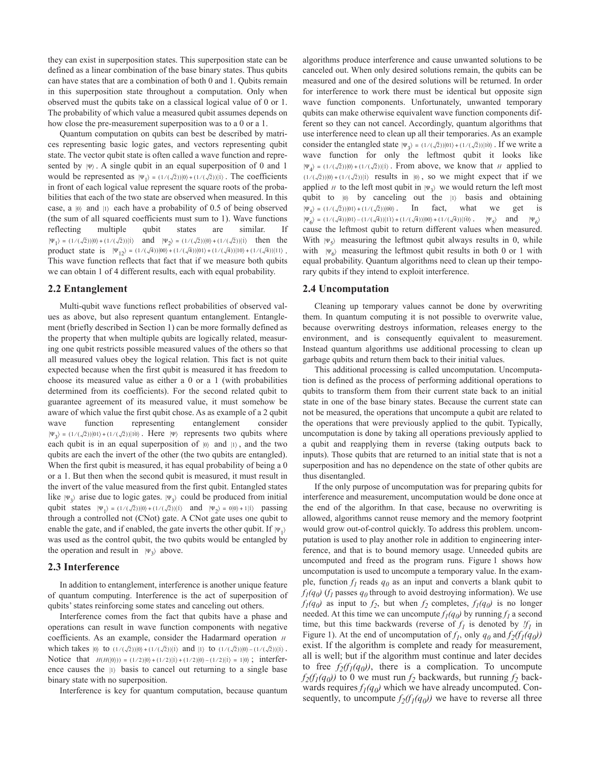they can exist in superposition states. This superposition state can be defined as a linear combination of the base binary states. Thus qubits can have states that are a combination of both 0 and 1. Qubits remain in this superposition state throughout a computation. Only when observed must the qubits take on a classical logical value of 0 or 1. The probability of which value a measured qubit assumes depends on how close the pre-measurement superposition was to a 0 or a 1.

Quantum computation on qubits can best be described by matrices representing basic logic gates, and vectors representing qubit state. The vector qubit state is often called a wave function and represented by  $|\Psi\rangle$ . A single qubit in an equal superposition of 0 and 1 would be represented as  $|\Psi_1\rangle = (1/(\sqrt{2}))|0\rangle + (1/(\sqrt{2}))|1\rangle$ . The coefficients in front of each logical value represent the square roots of the probabilities that each of the two state are observed when measured. In this case, a  $|0\rangle$  and  $|1\rangle$  each have a probability of 0.5 of being observed (the sum of all squared coefficients must sum to 1). Wave functions reflecting multiple qubit states are similar. If  $|\Psi_1\rangle = (1/(\sqrt{2}))|0\rangle + (1/(\sqrt{2}))|1\rangle$  and  $|\Psi_2\rangle = (1/(\sqrt{2}))|0\rangle + (1/(\sqrt{2}))|1\rangle$  then the product state is  $|\Psi_{12}\rangle = (1/(\sqrt{4}))|00\rangle + (1/(\sqrt{4}))|01\rangle + (1/(\sqrt{4}))|10\rangle + (1/(\sqrt{4}))|11\rangle$ . This wave function reflects that fact that if we measure both qubits we can obtain 1 of 4 different results, each with equal probability.

## **2.2 Entanglement**

Multi-qubit wave functions reflect probabilities of observed values as above, but also represent quantum entanglement. Entanglement (briefly described in Section 1) can be more formally defined as the property that when multiple qubits are logically related, measuring one qubit restricts possible measured values of the others so that all measured values obey the logical relation. This fact is not quite expected because when the first qubit is measured it has freedom to choose its measured value as either a 0 or a 1 (with probabilities determined from its coefficients). For the second related qubit to guarantee agreement of its measured value, it must somehow be aware of which value the first qubit chose. As as example of a 2 qubit wave function representing entanglement consider  $|\Psi_3\rangle = (1/(\sqrt{2}))|01\rangle + (1/(\sqrt{2}))|10\rangle$ . Here  $|\Psi\rangle$  represents two qubits where each qubit is in an equal superposition of  $|0\rangle$  and  $|1\rangle$ , and the two qubits are each the invert of the other (the two qubits are entangled). When the first qubit is measured, it has equal probability of being a 0 or a 1. But then when the second qubit is measured, it must result in the invert of the value measured from the first qubit. Entangled states like  $|\Psi_3\rangle$  arise due to logic gates.  $|\Psi_3\rangle$  could be produced from initial qubit states  $|\Psi_1\rangle = (1/(\sqrt{2}))|0\rangle + (1/(\sqrt{2}))|1\rangle$  and  $|\Psi_2\rangle = 0|0\rangle + 1|1\rangle$  passing through a controlled not (CNot) gate. A CNot gate uses one qubit to enable the gate, and if enabled, the gate inverts the other qubit. If  $|\Psi_1\rangle$ was used as the control qubit, the two qubits would be entangled by the operation and result in  $|\Psi_3\rangle$  above.

## **2.3 Interference**

In addition to entanglement, interference is another unique feature of quantum computing. Interference is the act of superposition of qubits' states reinforcing some states and canceling out others.

Interference comes from the fact that qubits have a phase and operations can result in wave function components with negative coefficients. As an example, consider the Hadarmard operation *H* which takes  $|0\rangle$  to  $(1/(\sqrt{2}))|0\rangle + (1/(\sqrt{2}))|1\rangle$  and  $|1\rangle$  to  $(1/(\sqrt{2}))|0\rangle - (1/(\sqrt{2}))|1\rangle$ . Notice that  $H(H(|0\rangle)) = (1/2)|0\rangle + (1/2)|1\rangle + (1/2)|0\rangle - (1/2)|1\rangle = 1|0\rangle$ ; interference causes the  $|1\rangle$  basis to cancel out returning to a single base binary state with no superposition.

Interference is key for quantum computation, because quantum

algorithms produce interference and cause unwanted solutions to be canceled out. When only desired solutions remain, the qubits can be measured and one of the desired solutions will be returned. In order for interference to work there must be identical but opposite sign wave function components. Unfortunately, unwanted temporary qubits can make otherwise equivalent wave function components different so they can not cancel. Accordingly, quantum algorithms that use interference need to clean up all their temporaries. As an example consider the entangled state  $|\Psi_3\rangle = (1/(\sqrt{2}))|01\rangle + (1/(\sqrt{2}))|10\rangle$ . If we write a wave function for only the leftmost qubit it looks like  $|\Psi_4\rangle = (1/(\sqrt{2}))|0\rangle + (1/(\sqrt{2}))|1\rangle$ . From above, we know that *H* applied to  $(1/(\sqrt{2}))|0\rangle + (1/(\sqrt{2}))|1\rangle$  results in  $|0\rangle$ , so we might expect that if we applied  $H$  to the left most qubit in  $|\Psi_3\rangle$  we would return the left most qubit to  $|0\rangle$  by canceling out the  $|1\rangle$  basis and obtaining  $|\Psi_5\rangle = (1/(\sqrt{2}))/01 + (1/(\sqrt{2}))/00)$ . In fact, what we get is  $\vert \Psi_6 \rangle = (1/(\sqrt{4})) \vert 01 \rangle - (1/(\sqrt{4})) \vert 11 \rangle + (1/(\sqrt{4})) \vert 00 \rangle + (1/(\sqrt{4})) \vert 10 \rangle \; , \quad \ \ \vert \Psi_5 \rangle \quad \text{ and } \quad \ \vert \Psi_6 \rangle$ cause the leftmost qubit to return different values when measured. With  $|\Psi_5\rangle$  measuring the leftmost qubit always results in 0, while with  $|\Psi_6\rangle$  measuring the leftmost qubit results in both 0 or 1 with equal probability. Quantum algorithms need to clean up their temporary qubits if they intend to exploit interference.

#### **2.4 Uncomputation**

Cleaning up temporary values cannot be done by overwriting them. In quantum computing it is not possible to overwrite value, because overwriting destroys information, releases energy to the environment, and is consequently equivalent to measurement. Instead quantum algorithms use additional processing to clean up garbage qubits and return them back to their initial values.

This additional processing is called uncomputation. Uncomputation is defined as the process of performing additional operations to qubits to transform them from their current state back to an initial state in one of the base binary states. Because the current state can not be measured, the operations that uncompute a qubit are related to the operations that were previously applied to the qubit. Typically, uncomputation is done by taking all operations previously applied to a qubit and reapplying them in reverse (taking outputs back to inputs). Those qubits that are returned to an initial state that is not a superposition and has no dependence on the state of other qubits are thus disentangled.

If the only purpose of uncomputation was for preparing qubits for interference and measurement, uncomputation would be done once at the end of the algorithm. In that case, because no overwriting is allowed, algorithms cannot reuse memory and the memory footprint would grow out-of-control quickly. To address this problem. uncomputation is used to play another role in addition to engineering interference, and that is to bound memory usage. Unneeded qubits are uncomputed and freed as the program runs. Figure 1 shows how uncomputation is used to uncompute a temporary value. In the example, function  $f_1$  reads  $q_0$  as an input and converts a blank qubit to  $f_1(q_0)$  ( $f_1$  passes  $q_0$  through to avoid destroying information). We use  $f_1(q_0)$  as input to  $f_2$ , but when  $f_2$  completes,  $f_1(q_0)$  is no longer needed. At this time we can uncompute  $f_l(q_0)$  by running  $f_l$  a second time, but this time backwards (reverse of  $f_I$  is denoted by  $f_I$  in Figure 1). At the end of uncomputation of  $f_1$ , only  $q_0$  and  $f_2(f_1(q_0))$ exist. If the algorithm is complete and ready for measurement, all is well; but if the algorithm must continue and later decides to free  $f_2(f_1(q_0))$ , there is a complication. To uncompute  $f_2(f_1(q_0))$  to 0 we must run  $f_2$  backwards, but running  $f_2$  backwards requires  $f_1(q_0)$  which we have already uncomputed. Consequently, to uncompute  $f_2(f_1(q_0))$  we have to reverse all three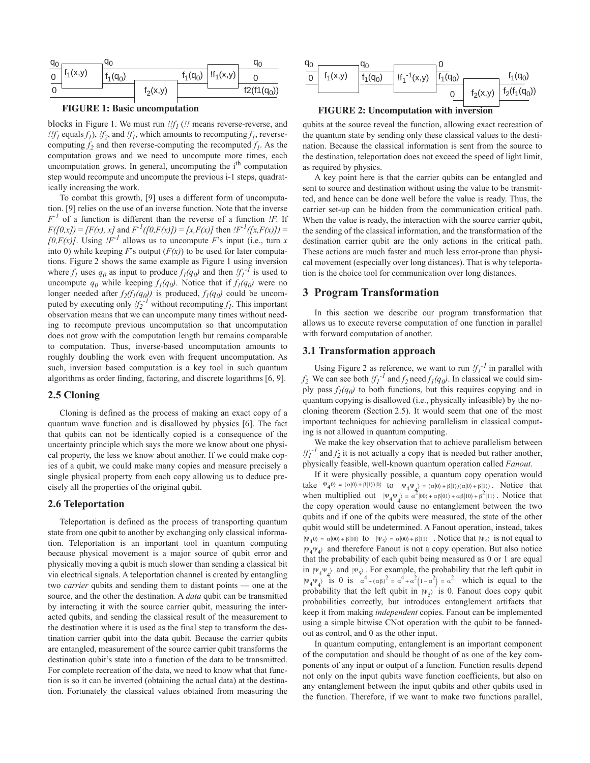

**FIGURE 1: Basic uncomputation** 

blocks in Figure 1. We must run *!!f1* (*!!* means reverse-reverse, and *!!f<sub>1</sub>* equals  $f_1$ ,  $f_2$ , and  $f_1$ , which amounts to recomputing  $f_1$ , reversecomputing  $f_2$  and then reverse-computing the recomputed  $f_1$ . As the computation grows and we need to uncompute more times, each uncomputation grows. In general, uncomputing the i<sup>th</sup> computation step would recompute and uncompute the previous i-1 steps, quadratically increasing the work.

To combat this growth, [9] uses a different form of uncomputation. [9] relies on the use of an inverse function. Note that the inverse  $F<sup>1</sup>$  of a function is different than the reverse of a function *!F*. If  $F([0,x]) = [F(x), x]$  and  $F^{-1}([0,F(x)]) = [x, F(x)]$  then  $IF^{-1}([x, F(x)]) =$  $[0, F(x)]$ . Using  $IF^{-1}$  allows us to uncompute *F*'s input (i.e., turn *x* into 0) while keeping  $F$ 's output  $(F(x))$  to be used for later computations. Figure 2 shows the same example as Figure 1 using inversion where  $f_1$  uses  $q_0$  as input to produce  $f_1(q_0)$  and then  $!f_1^{-1}$  is used to uncompute  $q_0$  while keeping  $f_1(q_0)$ . Notice that if  $f_1(q_0)$  were no longer needed after  $f_2(f_1(q_0))$  is produced,  $f_1(q_0)$  could be uncomputed by executing only  $\mathcal{F}_{2}$ <sup>-1</sup> without recomputing  $f_1$ . This important observation means that we can uncompute many times without needing to recompute previous uncomputation so that uncomputation does not grow with the computation length but remains comparable to computation. Thus, inverse-based uncomputation amounts to roughly doubling the work even with frequent uncomputation. As such, inversion based computation is a key tool in such quantum algorithms as order finding, factoring, and discrete logarithms [6, 9].

## **2.5 Cloning**

Cloning is defined as the process of making an exact copy of a quantum wave function and is disallowed by physics [6]. The fact that qubits can not be identically copied is a consequence of the uncertainty principle which says the more we know about one physical property, the less we know about another. If we could make copies of a qubit, we could make many copies and measure precisely a single physical property from each copy allowing us to deduce precisely all the properties of the original qubit.

#### **2.6 Teleportation**

Teleportation is defined as the process of transporting quantum state from one qubit to another by exchanging only classical information. Teleportation is an important tool in quantum computing because physical movement is a major source of qubit error and physically moving a qubit is much slower than sending a classical bit via electrical signals. A teleportation channel is created by entangling two *carrier* qubits and sending them to distant points — one at the source, and the other the destination. A *data* qubit can be transmitted by interacting it with the source carrier qubit, measuring the interacted qubits, and sending the classical result of the measurement to the destination where it is used as the final step to transform the destination carrier qubit into the data qubit. Because the carrier qubits are entangled, measurement of the source carrier qubit transforms the destination qubit's state into a function of the data to be transmitted. For complete recreation of the data, we need to know what that function is so it can be inverted (obtaining the actual data) at the destination. Fortunately the classical values obtained from measuring the



**FIGURE 2: Uncomputation with inversion**

qubits at the source reveal the function, allowing exact recreation of the quantum state by sending only these classical values to the destination. Because the classical information is sent from the source to the destination, teleportation does not exceed the speed of light limit, as required by physics.

A key point here is that the carrier qubits can be entangled and sent to source and destination without using the value to be transmitted, and hence can be done well before the value is ready. Thus, the carrier set-up can be hidden from the communication critical path. When the value is ready, the interaction with the source carrier qubit, the sending of the classical information, and the transformation of the destination carrier qubit are the only actions in the critical path. These actions are much faster and much less error-prone than physical movement (especially over long distances). That is why teleportation is the choice tool for communication over long distances.

# **3 Program Transformation**

In this section we describe our program transformation that allows us to execute reverse computation of one function in parallel with forward computation of another.

## **3.1 Transformation approach**

Using Figure 2 as reference, we want to run  $/f_I^{-1}$  in parallel with  $f_2$ . We can see both  $/f_1^{-1}$  and  $f_2$  need  $f_1(q_0)$ . In classical we could simply pass  $f_1(q_0)$  to both functions, but this requires copying and in quantum copying is disallowed (i.e., physically infeasible) by the nocloning theorem (Section 2.5). It would seem that one of the most important techniques for achieving parallelism in classical computing is not allowed in quantum computing.

We make the key observation that to achieve parallelism between  $!f_1^{-1}$  and  $f_2$  it is not actually a copy that is needed but rather another, physically feasible, well-known quantum operation called *Fanout*.

If it were physically possible, a quantum copy operation would take  $\Psi_4$ <sup>0</sup> $\rangle = (\alpha|0\rangle + \beta|1\rangle)|0\rangle$  to  $|\Psi_4\Psi_4\rangle = (\alpha|0\rangle + \beta|1\rangle)(\alpha|0\rangle + \beta|1\rangle)$ . Notice that take  $\Psi_4$ <sup>0</sup>) = ( $\alpha$ |0) +  $\beta$ |1))|0) to  $|\Psi_4\Psi_4\rangle = (\alpha|0\rangle + \beta|1\rangle)(\alpha|0\rangle + \beta|1\rangle)$ . Notice that when multiplied out  $|\Psi_4\Psi_4\rangle = \alpha^2|00\rangle + \alpha\beta|01\rangle + \alpha\beta|10\rangle + \beta^2|11\rangle$ . Notice that the copy operation would cause no entanglement between the two qubits and if one of the qubits were measured, the state of the other qubit would still be undetermined. A Fanout operation, instead, takes  $|\Psi_4 0\rangle = \alpha |00\rangle + \beta |10\rangle$  to  $|\Psi_5\rangle = \alpha |00\rangle + \beta |11\rangle$ . Notice that  $|\Psi_5\rangle$  is not equal to  $|\Psi_4 \Psi_4\rangle$  and therefore Fanout is not a copy operation. But also notice that the probability of each qubit being measured as 0 or 1 are equal in  $|\Psi_4 \Psi_4\rangle$  and  $|\Psi_5\rangle$ . For example, the probability that the left qubit in  $|\Psi_4\Psi_4\rangle$  is 0 is  $\alpha^4 + (\alpha \beta)^2 = \alpha^4 + \alpha^2(1-\alpha^2) = \alpha^2$  which is equal to the probability that the left qubit in  $|\Psi_5\rangle$  is 0. Fanout does copy qubit probabilities correctly, but introduces entanglement artifacts that keep it from making *independent* copies. Fanout can be implemented using a simple bitwise CNot operation with the qubit to be fannedout as control, and 0 as the other input.  $|\Psi_4\Psi_4\rangle = \alpha^2|00\rangle + \alpha\beta|01\rangle + \alpha\beta|10\rangle + \beta^2|11\rangle$ 

In quantum computing, entanglement is an important component of the computation and should be thought of as one of the key components of any input or output of a function. Function results depend not only on the input qubits wave function coefficients, but also on any entanglement between the input qubits and other qubits used in the function. Therefore, if we want to make two functions parallel,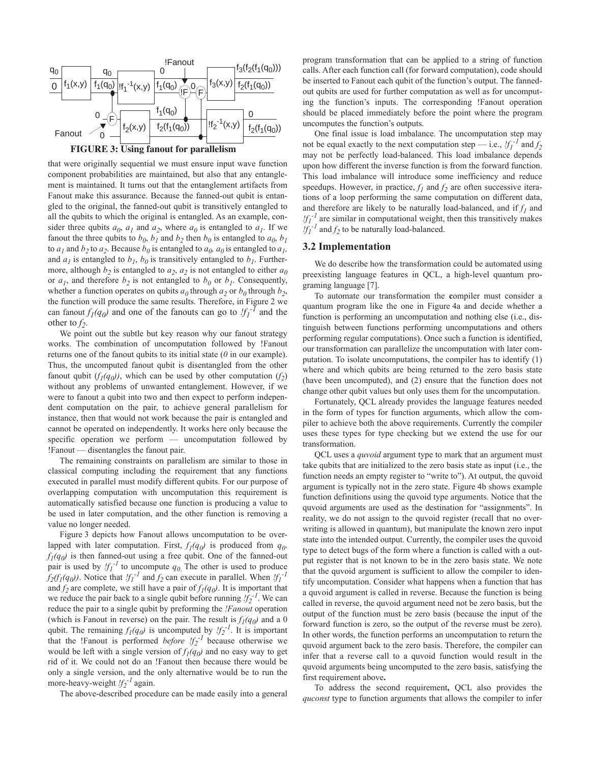

that were originally sequential we must ensure input wave function component probabilities are maintained, but also that any entanglement is maintained. It turns out that the entanglement artifacts from Fanout make this assurance. Because the fanned-out qubit is entangled to the original, the fanned-out qubit is transitively entangled to all the qubits to which the original is entangled. As an example, consider three qubits  $a_0$ ,  $a_1$  and  $a_2$ , where  $a_0$  is entangled to  $a_1$ . If we fanout the three qubits to  $b_0$ ,  $b_1$  and  $b_2$  then  $b_0$  is entangled to  $a_0$ ,  $b_1$ to  $a_1$  and  $b_2$  to  $a_2$ . Because  $b_0$  is entangled to  $a_0$ ,  $a_0$  is entangled to  $a_1$ , and  $a<sub>1</sub>$  is entangled to  $b<sub>1</sub>$ ,  $b<sub>0</sub>$  is transitively entangled to  $b<sub>1</sub>$ . Furthermore, although  $b_2$  is entangled to  $a_2$ ,  $a_2$  is not entangled to either  $a_0$ or  $a_1$ , and therefore  $b_2$  is not entangled to  $b_0$  or  $b_1$ . Consequently, whether a function operates on qubits  $a_0$  through  $a_2$  or  $b_0$  through  $b_2$ , the function will produce the same results. Therefore, in Figure 2 we can fanout  $f_I(q_0)$  and one of the fanouts can go to  $/f_I^{-1}$  and the other to  $f_2$ .

We point out the subtle but key reason why our fanout strategy works. The combination of uncomputation followed by !Fanout returns one of the fanout qubits to its initial state (*0* in our example). Thus, the uncomputed fanout qubit is disentangled from the other fanout qubit  $(f_1(q_0))$ , which can be used by other computation  $(f_2)$ without any problems of unwanted entanglement. However, if we were to fanout a qubit into two and then expect to perform independent computation on the pair, to achieve general parallelism for instance, then that would not work because the pair is entangled and cannot be operated on independently. It works here only because the specific operation we perform — uncomputation followed by !Fanout — disentangles the fanout pair.

The remaining constraints on parallelism are similar to those in classical computing including the requirement that any functions executed in parallel must modify different qubits. For our purpose of overlapping computation with uncomputation this requirement is automatically satisfied because one function is producing a value to be used in later computation, and the other function is removing a value no longer needed.

Figure 3 depicts how Fanout allows uncomputation to be overlapped with later computation. First,  $f_l(q_0)$  is produced from  $q_0$ .  $f_1(q_0)$  is then fanned-out using a free qubit. One of the fanned-out pair is used by  $lf_1^{-1}$  to uncompute  $q_0$ . The other is used to produce  $f_2(f_1(q_0))$ . Notice that  $!f_1^{-1}$  and  $f_2$  can execute in parallel. When  $!f_1^{-1}$ and  $f_2$  are complete, we still have a pair of  $f_1(q_0)$ . It is important that we reduce the pair back to a single qubit before running  $\int_{2}^{2} r^{2}$ . We can reduce the pair to a single qubit by preforming the *!Fanout* operation (which is Fanout in reverse) on the pair. The result is  $f_1(q_0)$  and a 0 qubit. The remaining  $f_1(q_0)$  is uncomputed by  $/f_2^{-1}$ . It is important that the !Fanout is performed *before*  $!f_2^{-1}$  because otherwise we would be left with a single version of  $f_l(q_0)$  and no easy way to get rid of it. We could not do an !Fanout then because there would be only a single version, and the only alternative would be to run the more-heavy-weight  $!f_2^{-1}$  again.

The above-described procedure can be made easily into a general

program transformation that can be applied to a string of function calls. After each function call (for forward computation), code should be inserted to Fanout each qubit of the function's output. The fannedout qubits are used for further computation as well as for uncomputing the function's inputs. The corresponding !Fanout operation should be placed immediately before the point where the program uncomputes the function's outputs.

One final issue is load imbalance. The uncomputation step may not be equal exactly to the next computation step — i.e.,  $/f_1^{-1}$  and  $f_2$ may not be perfectly load-balanced. This load imbalance depends upon how different the inverse function is from the forward function. This load imbalance will introduce some inefficiency and reduce speedups. However, in practice,  $f_1$  and  $f_2$  are often successive iterations of a loop performing the same computation on different data, and therefore are likely to be naturally load-balanced, and if  $f_1$  and  $lf_1^{-1}$  are similar in computational weight, then this transitively makes  $\int f_1^{-1}$  and  $f_2$  to be naturally load-balanced.

#### **3.2 Implementation**

We do describe how the transformation could be automated using preexisting language features in QCL, a high-level quantum programing language [7].

To automate our transformation the **c**ompiler must consider a quantum program like the one in Figure 4a and decide whether a function is performing an uncomputation and nothing else (i.e., distinguish between functions performing uncomputations and others performing regular computations). Once such a function is identified, our transformation can parallelize the uncomputation with later computation. To isolate uncomputations, the compiler has to identify (1) where and which qubits are being returned to the zero basis state (have been uncomputed), and (2) ensure that the function does not change other qubit values but only uses them for the uncomputation.

Fortunately, QCL already provides the language features needed in the form of types for function arguments, which allow the compiler to achieve both the above requirements. Currently the compiler uses these types for type checking but we extend the use for our transformation.

QCL uses a *quvoid* argument type to mark that an argument must take qubits that are initialized to the zero basis state as input (i.e., the function needs an empty register to "write to"). At output, the quvoid argument is typically not in the zero state. Figure 4b shows example function definitions using the quvoid type arguments. Notice that the quvoid arguments are used as the destination for "assignments". In reality, we do not assign to the quvoid register (recall that no overwriting is allowed in quantum), but manipulate the known zero input state into the intended output. Currently, the compiler uses the quvoid type to detect bugs of the form where a function is called with a output register that is not known to be in the zero basis state. We note that the quvoid argument is sufficient to allow the compiler to identify uncomputation. Consider what happens when a function that has a quvoid argument is called in reverse. Because the function is being called in reverse, the quvoid argument need not be zero basis, but the output of the function must be zero basis (because the input of the forward function is zero, so the output of the reverse must be zero). In other words, the function performs an uncomputation to return the quvoid argument back to the zero basis. Therefore, the compiler can infer that a reverse call to a quvoid function would result in the quvoid arguments being uncomputed to the zero basis, satisfying the first requirement above**.**

To address the second requirement**,** QCL also provides the *quconst* type to function arguments that allows the compiler to infer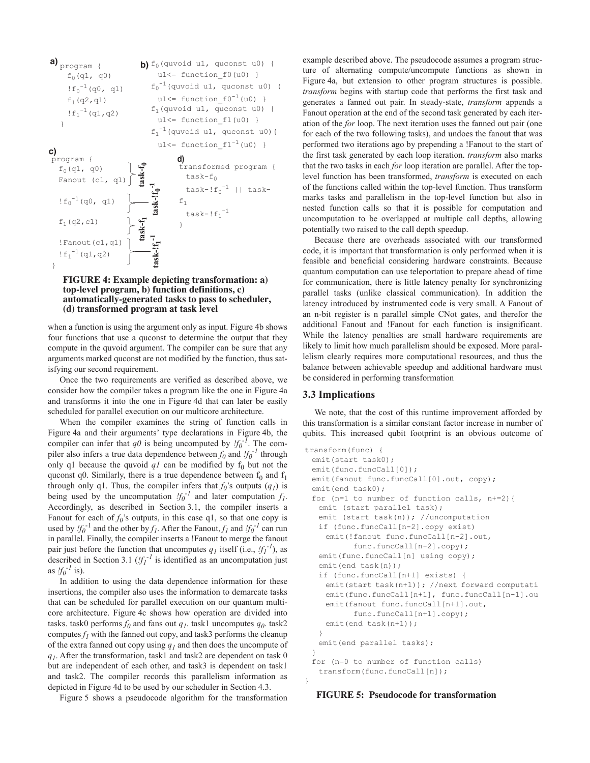

#### **FIGURE 4: Example depicting transformation: a) top-level program, b) function definitions, c) automatically-generated tasks to pass to scheduler, (d) transformed program at task level**

when a function is using the argument only as input. Figure 4b shows four functions that use a quconst to determine the output that they compute in the quvoid argument. The compiler can be sure that any arguments marked quconst are not modified by the function, thus satisfying our second requirement.

Once the two requirements are verified as described above, we consider how the compiler takes a program like the one in Figure 4a and transforms it into the one in Figure 4d that can later be easily scheduled for parallel execution on our multicore architecture.

When the compiler examines the string of function calls in Figure 4a and their arguments' type declarations in Figure 4b, the compiler can infer that  $q\theta$  is being uncomputed by  $!f_0^{-1}$ . The compiler also infers a true data dependence between  $f_0$  and  $f_0^{-1}$  through only q1 because the quvoid  $q_1$  can be modified by  $f_0$  but not the quconst q0. Similarly, there is a true dependence between  $f_0$  and  $f_1$ through only q1. Thus, the compiler infers that  $f_0$ 's outputs  $(q_1)$  is being used by the uncomputation  $lf_0^{-1}$  and later computation  $f_1$ . Accordingly, as described in Section 3.1, the compiler inserts a Fanout for each of  $f_0$ 's outputs, in this case q1, so that one copy is used by  $1/f_0^{-1}$  and the other by  $f_1$ . After the Fanout,  $f_1$  and  $1/f_0^{-1}$  can run in parallel. Finally, the compiler inserts a !Fanout to merge the fanout pair just before the function that uncomputes  $q_l$  itself (i.e.,  $lf_l^{-1}$ ), as described in Section 3.1  $(f_I^{-1}$  is identified as an uncomputation just as  $If_0^{-1}$  is).

In addition to using the data dependence information for these insertions, the compiler also uses the information to demarcate tasks that can be scheduled for parallel execution on our quantum multicore architecture. Figure 4c shows how operation are divided into tasks. task0 performs  $f_0$  and fans out  $q_1$ . task1 uncomputes  $q_0$ . task2 computes  $f_l$  with the fanned out copy, and task3 performs the cleanup of the extra fanned out copy using *q1* and then does the uncompute of  $q_1$ . After the transformation, task1 and task2 are dependent on task 0 but are independent of each other, and task3 is dependent on task1 and task2. The compiler records this parallelism information as depicted in Figure 4d to be used by our scheduler in Section 4.3.

Figure 5 shows a pseudocode algorithm for the transformation

example described above. The pseudocode assumes a program structure of alternating compute/uncompute functions as shown in Figure 4a, but extension to other program structures is possible. *transform* begins with startup code that performs the first task and generates a fanned out pair. In steady-state, *transform* appends a Fanout operation at the end of the second task generated by each iteration of the *for* loop. The next iteration uses the fanned out pair (one for each of the two following tasks), and undoes the fanout that was performed two iterations ago by prepending a !Fanout to the start of the first task generated by each loop iteration. *transform* also marks that the two tasks in each *for* loop iteration are parallel. After the toplevel function has been transformed, *transform* is executed on each of the functions called within the top-level function. Thus transform marks tasks and parallelism in the top-level function but also in nested function calls so that it is possible for computation and uncomputation to be overlapped at multiple call depths, allowing potentially two raised to the call depth speedup.

Because there are overheads associated with our transformed code, it is important that transformation is only performed when it is feasible and beneficial considering hardware constraints. Because quantum computation can use teleportation to prepare ahead of time for communication, there is little latency penalty for synchronizing parallel tasks (unlike classical communication). In addition the latency introduced by instrumented code is very small. A Fanout of an n-bit register is n parallel simple CNot gates, and therefor the additional Fanout and !Fanout for each function is insignificant. While the latency penalties are small hardware requirements are likely to limit how much parallelism should be exposed. More parallelism clearly requires more computational resources, and thus the balance between achievable speedup and additional hardware must be considered in performing transformation

## **3.3 Implications**

}

We note, that the cost of this runtime improvement afforded by this transformation is a similar constant factor increase in number of qubits. This increased qubit footprint is an obvious outcome of

```
transform(func) {
 emit(start task0);
 emit(func.funcCall[0]);
 emit(fanout func.funcCall[0].out, copy);
 emit(end task0);
 for (n=1 to number of function calls, n+=2){
  emit (start parallel task);
  emit (start task(n)); //uncomputation
  if (func.funcCall[n-2].copy exist)
    emit(!fanout func.funcCall[n-2].out,
          func.funcCall[n-2].copy);
  emit(func.funcCall[n] using copy);
  emit(end task(n));
   if (func.funcCall[n+1] exists) {
    emit(start task(n+1)); //next forward computati
    emit(func.funcCall[n+1], func.funcCall[n-1].ou
    emit(fanout func.funcCall[n+1].out,
          func.funcCall[n+1].copy);
    emit(end task(n+1));
   }
  emit(end parallel tasks);
 }
 for (n=0 to number of function calls)
   transform(func.funcCall[n]);
```
#### **FIGURE 5: Pseudocode for transformation**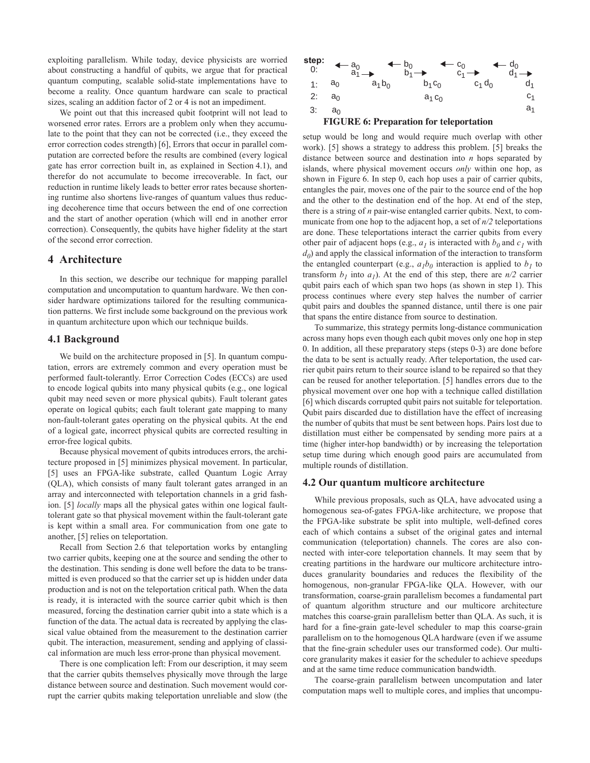exploiting parallelism. While today, device physicists are worried about constructing a handful of qubits, we argue that for practical quantum computing, scalable solid-state implementations have to become a reality. Once quantum hardware can scale to practical sizes, scaling an addition factor of 2 or 4 is not an impediment.

We point out that this increased qubit footprint will not lead to worsened error rates. Errors are a problem only when they accumulate to the point that they can not be corrected (i.e., they exceed the error correction codes strength) [6], Errors that occur in parallel computation are corrected before the results are combined (every logical gate has error correction built in, as explained in Section 4.1), and therefor do not accumulate to become irrecoverable. In fact, our reduction in runtime likely leads to better error rates because shortening runtime also shortens live-ranges of quantum values thus reducing decoherence time that occurs between the end of one correction and the start of another operation (which will end in another error correction). Consequently, the qubits have higher fidelity at the start of the second error correction.

# **4 Architecture**

In this section, we describe our technique for mapping parallel computation and uncomputation to quantum hardware. We then consider hardware optimizations tailored for the resulting communication patterns. We first include some background on the previous work in quantum architecture upon which our technique builds.

## **4.1 Background**

We build on the architecture proposed in [5]. In quantum computation, errors are extremely common and every operation must be performed fault-tolerantly. Error Correction Codes (ECCs) are used to encode logical qubits into many physical qubits (e.g., one logical qubit may need seven or more physical qubits). Fault tolerant gates operate on logical qubits; each fault tolerant gate mapping to many non-fault-tolerant gates operating on the physical qubits. At the end of a logical gate, incorrect physical qubits are corrected resulting in error-free logical qubits.

Because physical movement of qubits introduces errors, the architecture proposed in [5] minimizes physical movement. In particular, [5] uses an FPGA-like substrate, called Quantum Logic Array (QLA), which consists of many fault tolerant gates arranged in an array and interconnected with teleportation channels in a grid fashion. [5] *locally* maps all the physical gates within one logical faulttolerant gate so that physical movement within the fault-tolerant gate is kept within a small area. For communication from one gate to another, [5] relies on teleportation.

Recall from Section 2.6 that teleportation works by entangling two carrier qubits, keeping one at the source and sending the other to the destination. This sending is done well before the data to be transmitted is even produced so that the carrier set up is hidden under data production and is not on the teleportation critical path. When the data is ready, it is interacted with the source carrier qubit which is then measured, forcing the destination carrier qubit into a state which is a function of the data. The actual data is recreated by applying the classical value obtained from the measurement to the destination carrier qubit. The interaction, measurement, sending and applying of classical information are much less error-prone than physical movement.

There is one complication left: From our description, it may seem that the carrier qubits themselves physically move through the large distance between source and destination. Such movement would corrupt the carrier qubits making teleportation unreliable and slow (the



setup would be long and would require much overlap with other work). [5] shows a strategy to address this problem. [5] breaks the distance between source and destination into *n* hops separated by islands, where physical movement occurs *only* within one hop, as shown in Figure 6. In step 0, each hop uses a pair of carrier qubits, entangles the pair, moves one of the pair to the source end of the hop and the other to the destination end of the hop. At end of the step, there is a string of *n* pair-wise entangled carrier qubits. Next, to communicate from one hop to the adjacent hop, a set of *n/2* teleportations are done. These teleportations interact the carrier qubits from every other pair of adjacent hops (e.g.,  $a<sub>I</sub>$  is interacted with  $b<sub>0</sub>$  and  $c<sub>I</sub>$  with  $d<sub>0</sub>$ ) and apply the classical information of the interaction to transform the entangled counterpart (e.g.,  $a_1b_0$  interaction is applied to  $b_1$  to transform  $b_1$  into  $a_1$ ). At the end of this step, there are  $n/2$  carrier qubit pairs each of which span two hops (as shown in step 1). This process continues where every step halves the number of carrier qubit pairs and doubles the spanned distance, until there is one pair that spans the entire distance from source to destination.

To summarize, this strategy permits long-distance communication across many hops even though each qubit moves only one hop in step 0. In addition, all these preparatory steps (steps 0-3) are done before the data to be sent is actually ready. After teleportation, the used carrier qubit pairs return to their source island to be repaired so that they can be reused for another teleportation. [5] handles errors due to the physical movement over one hop with a technique called distillation [6] which discards corrupted qubit pairs not suitable for teleportation. Qubit pairs discarded due to distillation have the effect of increasing the number of qubits that must be sent between hops. Pairs lost due to distillation must either be compensated by sending more pairs at a time (higher inter-hop bandwidth) or by increasing the teleportation setup time during which enough good pairs are accumulated from multiple rounds of distillation.

#### **4.2 Our quantum multicore architecture**

While previous proposals, such as QLA, have advocated using a homogenous sea-of-gates FPGA-like architecture, we propose that the FPGA-like substrate be split into multiple, well-defined cores each of which contains a subset of the original gates and internal communication (teleportation) channels. The cores are also connected with inter-core teleportation channels. It may seem that by creating partitions in the hardware our multicore architecture introduces granularity boundaries and reduces the flexibility of the homogenous, non-granular FPGA-like QLA. However, with our transformation, coarse-grain parallelism becomes a fundamental part of quantum algorithm structure and our multicore architecture matches this coarse-grain parallelism better than QLA. As such, it is hard for a fine-grain gate-level scheduler to map this coarse-grain parallelism on to the homogenous QLA hardware (even if we assume that the fine-grain scheduler uses our transformed code). Our multicore granularity makes it easier for the scheduler to achieve speedups and at the same time reduce communication bandwidth.

The coarse-grain parallelism between uncomputation and later computation maps well to multiple cores, and implies that uncompu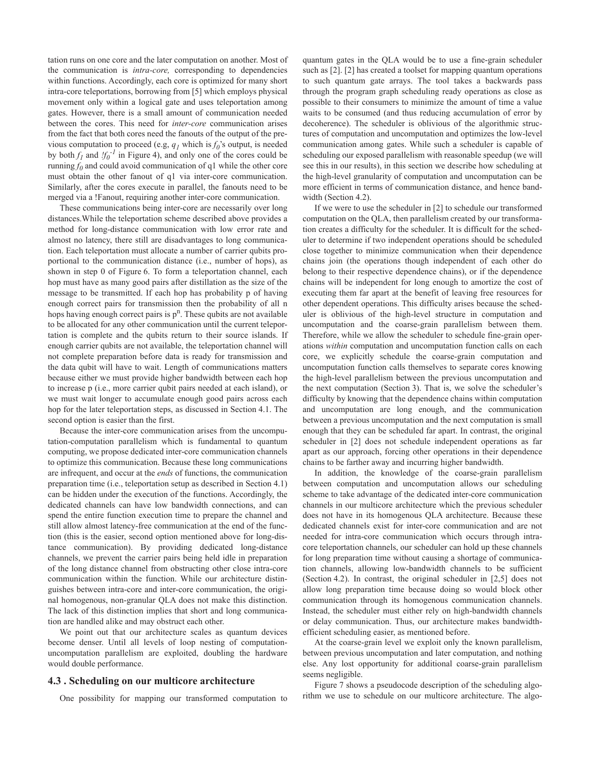tation runs on one core and the later computation on another. Most of the communication is *intra-core,* corresponding to dependencies within functions. Accordingly, each core is optimized for many short intra-core teleportations, borrowing from [5] which employs physical movement only within a logical gate and uses teleportation among gates. However, there is a small amount of communication needed between the cores. This need for *inter-core* communication arises from the fact that both cores need the fanouts of the output of the previous computation to proceed (e.g,  $q_1$  which is  $f_0$ 's output, is needed by both  $f_1$  and  $!f_0^{-1}$  in Figure 4), and only one of the cores could be running  $f_0$  and could avoid communication of q1 while the other core must obtain the other fanout of q1 via inter-core communication. Similarly, after the cores execute in parallel, the fanouts need to be merged via a !Fanout, requiring another inter-core communication.

These communications being inter-core are necessarily over long distances.While the teleportation scheme described above provides a method for long-distance communication with low error rate and almost no latency, there still are disadvantages to long communication. Each teleportation must allocate a number of carrier qubits proportional to the communication distance (i.e., number of hops), as shown in step 0 of Figure 6. To form a teleportation channel, each hop must have as many good pairs after distillation as the size of the message to be transmitted. If each hop has probability p of having enough correct pairs for transmission then the probability of all n hops having enough correct pairs is p<sup>n</sup>. These qubits are not available to be allocated for any other communication until the current teleportation is complete and the qubits return to their source islands. If enough carrier qubits are not available, the teleportation channel will not complete preparation before data is ready for transmission and the data qubit will have to wait. Length of communications matters because either we must provide higher bandwidth between each hop to increase p (i.e., more carrier qubit pairs needed at each island), or we must wait longer to accumulate enough good pairs across each hop for the later teleportation steps, as discussed in Section 4.1. The second option is easier than the first.

Because the inter-core communication arises from the uncomputation-computation parallelism which is fundamental to quantum computing, we propose dedicated inter-core communication channels to optimize this communication. Because these long communications are infrequent, and occur at the *ends* of functions, the communication preparation time (i.e., teleportation setup as described in Section 4.1) can be hidden under the execution of the functions. Accordingly, the dedicated channels can have low bandwidth connections, and can spend the entire function execution time to prepare the channel and still allow almost latency-free communication at the end of the function (this is the easier, second option mentioned above for long-distance communication). By providing dedicated long-distance channels, we prevent the carrier pairs being held idle in preparation of the long distance channel from obstructing other close intra-core communication within the function. While our architecture distinguishes between intra-core and inter-core communication, the original homogenous, non-granular QLA does not make this distinction. The lack of this distinction implies that short and long communication are handled alike and may obstruct each other.

We point out that our architecture scales as quantum devices become denser. Until all levels of loop nesting of computationuncomputation parallelism are exploited, doubling the hardware would double performance.

#### **4.3 . Scheduling on our multicore architecture**

One possibility for mapping our transformed computation to

quantum gates in the QLA would be to use a fine-grain scheduler such as [2]. [2] has created a toolset for mapping quantum operations to such quantum gate arrays. The tool takes a backwards pass through the program graph scheduling ready operations as close as possible to their consumers to minimize the amount of time a value waits to be consumed (and thus reducing accumulation of error by decoherence). The scheduler is oblivious of the algorithmic structures of computation and uncomputation and optimizes the low-level communication among gates. While such a scheduler is capable of scheduling our exposed parallelism with reasonable speedup (we will see this in our results), in this section we describe how scheduling at the high-level granularity of computation and uncomputation can be more efficient in terms of communication distance, and hence bandwidth (Section 4.2).

If we were to use the scheduler in [2] to schedule our transformed computation on the QLA, then parallelism created by our transformation creates a difficulty for the scheduler. It is difficult for the scheduler to determine if two independent operations should be scheduled close together to minimize communication when their dependence chains join (the operations though independent of each other do belong to their respective dependence chains), or if the dependence chains will be independent for long enough to amortize the cost of executing them far apart at the benefit of leaving free resources for other dependent operations. This difficulty arises because the scheduler is oblivious of the high-level structure in computation and uncomputation and the coarse-grain parallelism between them. Therefore, while we allow the scheduler to schedule fine-grain operations *within* computation and uncomputation function calls on each core, we explicitly schedule the coarse-grain computation and uncomputation function calls themselves to separate cores knowing the high-level parallelism between the previous uncomputation and the next computation (Section 3). That is, we solve the scheduler's difficulty by knowing that the dependence chains within computation and uncomputation are long enough, and the communication between a previous uncomputation and the next computation is small enough that they can be scheduled far apart. In contrast, the original scheduler in [2] does not schedule independent operations as far apart as our approach, forcing other operations in their dependence chains to be farther away and incurring higher bandwidth.

In addition, the knowledge of the coarse-grain parallelism between computation and uncomputation allows our scheduling scheme to take advantage of the dedicated inter-core communication channels in our multicore architecture which the previous scheduler does not have in its homogenous QLA architecture. Because these dedicated channels exist for inter-core communication and are not needed for intra-core communication which occurs through intracore teleportation channels, our scheduler can hold up these channels for long preparation time without causing a shortage of communication channels, allowing low-bandwidth channels to be sufficient (Section 4.2). In contrast, the original scheduler in [2,5] does not allow long preparation time because doing so would block other communication through its homogenous communication channels. Instead, the scheduler must either rely on high-bandwidth channels or delay communication. Thus, our architecture makes bandwidthefficient scheduling easier, as mentioned before.

At the coarse-grain level we exploit only the known parallelism, between previous uncomputation and later computation, and nothing else. Any lost opportunity for additional coarse-grain parallelism seems negligible.

Figure 7 shows a pseudocode description of the scheduling algorithm we use to schedule on our multicore architecture. The algo-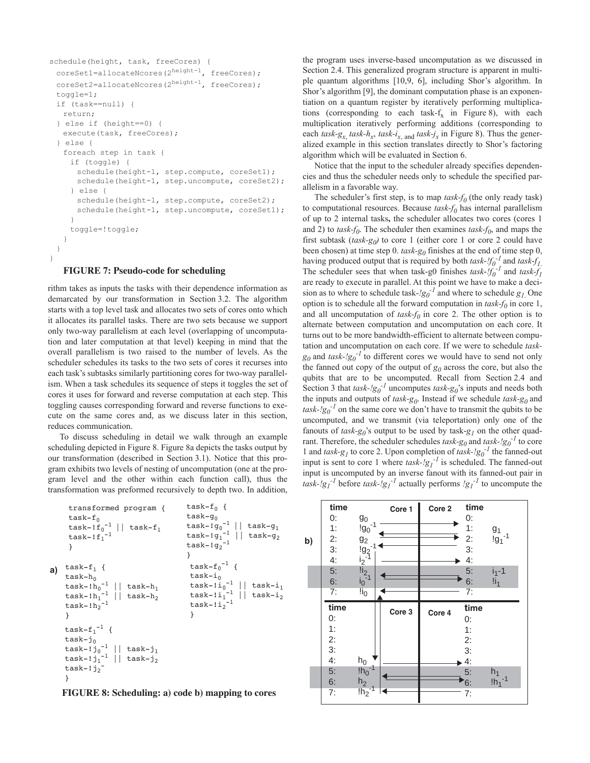```
schedule(height, task, freeCores) {
 coreSet1=allocateNcores(2height-1, freeCores);
 coreSet2=allocateNcores(2height-1, freeCores);
 toggle=1;
 if (task==null) {
  return;
 } else if (height==0) {
  execute(task, freeCores);
 } else {
   foreach step in task {
    if (toggle) {
      schedule(height-1, step.compute, coreSet1);
      schedule(height-1, step.uncompute, coreSet2);
    } else {
      schedule(height-1, step.compute, coreSet2);
      schedule(height-1, step.uncompute, coreSet1);
    }
    toggle=!toggle;
   }
 }
}
```
#### **FIGURE 7: Pseudo-code for scheduling**

rithm takes as inputs the tasks with their dependence information as demarcated by our transformation in Section 3.2. The algorithm starts with a top level task and allocates two sets of cores onto which it allocates its parallel tasks. There are two sets because we support only two-way parallelism at each level (overlapping of uncomputation and later computation at that level) keeping in mind that the overall parallelism is two raised to the number of levels. As the scheduler schedules its tasks to the two sets of cores it recurses into each task's subtasks similarly partitioning cores for two-way parallelism. When a task schedules its sequence of steps it toggles the set of cores it uses for forward and reverse computation at each step. This toggling causes corresponding forward and reverse functions to execute on the same cores and, as we discuss later in this section, reduces communication.

To discuss scheduling in detail we walk through an example scheduling depicted in Figure 8. Figure 8a depicts the tasks output by our transformation (described in Section 3.1). Notice that this program exhibits two levels of nesting of uncomputation (one at the program level and the other within each function call), thus the transformation was preformed recursively to depth two. In addition,

```
task-f_0 {
                                               task-g_0task-!g_0^{-1} || task-g_1\text{task-!} \, \tilde{g_1}^{-1}|| task-g<sub>2</sub>
                                                task-!{g_2}^{-1}}
    task-f_1 {
     task-h_0task-!\check{\text{h}}_0{}^{-1}|| task-h<sub>1</sub>
     task-!\mathrm{h}_1|| task-h_2task-!h_2^{-1}}
      transformed program {
      task-f_0task-!f_0^{-1} || task-f_1task-!f_1^{-1}}
                                                 task-f_0^{-1} {
                                                task-i<sub>0</sub>\text{task-}\,i_0^{-1}|| task-i<sub>1</sub>
                                                 task-!\rm i_1|| task-i<sub>2</sub>
                                                 task-!i_2<sup>-1</sup>
                                                 }
     task-f_1^{-1} {
     task-j_0task-!j_0^{-1} || task-j_1task-!j_1^{-1} || task-j_2task-!j_2^-}
a)
```
**FIGURE 8: Scheduling: a) code b) mapping to cores**

the program uses inverse-based uncomputation as we discussed in Section 2.4. This generalized program structure is apparent in multiple quantum algorithms [10,9, 6], including Shor's algorithm. In Shor's algorithm [9], the dominant computation phase is an exponentiation on a quantum register by iteratively performing multiplications (corresponding to each task- $f_x$  in Figure 8), with each multiplication iteratively performing additions (corresponding to each *task-g<sub>x</sub> task-h<sub>x</sub>*, *task-i<sub>x</sub>* and *task-j<sub>x</sub>* in Figure 8). Thus the generalized example in this section translates directly to Shor's factoring algorithm which will be evaluated in Section 6.

Notice that the input to the scheduler already specifies dependencies and thus the scheduler needs only to schedule the specified parallelism in a favorable way.

The scheduler's first step, is to map  $task-f_0$  (the only ready task) to computational resources. Because  $task-f_0$  has internal parallelism of up to 2 internal tasks**,** the scheduler allocates two cores (cores 1 and 2) to  $task-f_0$ . The scheduler then examines  $task-f_0$ , and maps the first subtask ( $task-g_0$ ) to core 1 (either core 1 or core 2 could have been chosen) at time step 0. *task-g<sub>0</sub>* finishes at the end of time step 0, having produced output that is required by both  $task$ - $!f_0$ <sup>-1</sup> and  $task$ - $f_1$ The scheduler sees that when task-g0 finishes  $task$ - $!f_0^{-1}$  and  $task$ - $f_1$ are ready to execute in parallel. At this point we have to make a decision as to where to schedule task- $lg_0$ <sup>-1</sup> and where to schedule  $g_l$  One option is to schedule all the forward computation in  $task-f_0$  in core 1, and all uncomputation of  $task-f_0$  in core 2. The other option is to alternate between computation and uncomputation on each core. It turns out to be more bandwidth-efficient to alternate between computation and uncomputation on each core. If we were to schedule *task* $g_0$  and *task-!g<sub>0</sub>*<sup>-1</sup> to different cores we would have to send not only the fanned out copy of the output of  $g_0$  across the core, but also the qubits that are to be uncomputed. Recall from Section 2.4 and Section 3 that  $task$ -!g<sub>0</sub><sup>-1</sup> uncomputes  $task$ -g<sub>0</sub>'s inputs and needs both the inputs and outputs of  $task-g_0$ . Instead if we schedule  $task-g_0$  and *task-* $\left[ g_0^{\dagger} \right]$  on the same core we don't have to transmit the qubits to be uncomputed, and we transmit (via teleportation) only one of the fanouts of  $task-g_0$ 's output to be used by task- $g_1$  on the other quadrant. Therefore, the scheduler schedules  $task-g_0$  and  $task/g_0^{-1}$  to core 1 and  $task-g_1$  to core 2. Upon completion of  $task$ - $!g_0^{-1}$  the fanned-out input is sent to core 1 where  $task$ - $lg_1$ <sup>-1</sup> is scheduled. The fanned-out input is uncomputed by an inverse fanout with its fanned-out pair in *task-!g<sub>1</sub>*<sup>-1</sup> before *task-!g<sub>1</sub>*<sup>-1</sup> actually performs  $lg_1$ <sup>-1</sup> to uncompute the

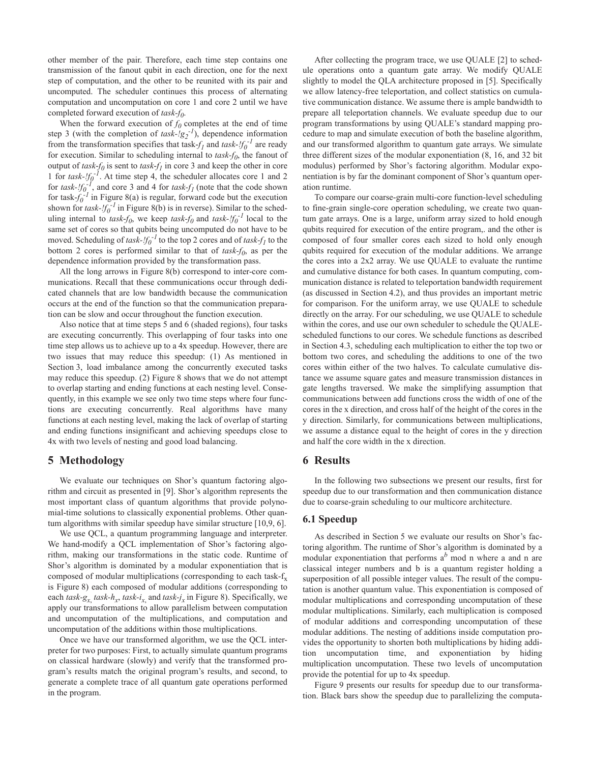other member of the pair. Therefore, each time step contains one transmission of the fanout qubit in each direction, one for the next step of computation, and the other to be reunited with its pair and uncomputed. The scheduler continues this process of alternating computation and uncomputation on core 1 and core 2 until we have completed forward execution of *task-f0*.

When the forward execution of  $f_0$  completes at the end of time step 3 (with the completion of  $task$ - $lg_2$ <sup>-1</sup>), dependence information from the transformation specifies that task- $f_1$  and task- $f_0$ <sup>-1</sup> are ready for execution. Similar to scheduling internal to  $task-f_0$ , the fanout of output of  $task$ - $f_0$  is sent to  $task$ - $f_1$  in core 3 and keep the other in core 1 for  $task-f_0^{-1}$ . At time step 4, the scheduler allocates core 1 and 2 for *task-!f<sub>0</sub>*<sup>-*I*</sup>, and core 3 and 4 for *task-f<sub>1</sub>* (note that the code shown for task- $f_0^2$ <sup>1</sup> in Figure 8(a) is regular, forward code but the execution shown for  $task$ - $!f_0^{-1}$  in Figure 8(b) is in reverse). Similar to the scheduling internal to *task-f<sub>0</sub>*, we keep *task-f<sub>0</sub>* and *task-!f<sub>0</sub><sup>-1</sup>* local to the same set of cores so that qubits being uncomputed do not have to be moved. Scheduling of  $task-f_0^{-1}$  to the top 2 cores and of  $task-f_1$  to the bottom 2 cores is performed similar to that of  $task-f_0$ , as per the dependence information provided by the transformation pass.

All the long arrows in Figure 8(b) correspond to inter-core communications. Recall that these communications occur through dedicated channels that are low bandwidth because the communication occurs at the end of the function so that the communication preparation can be slow and occur throughout the function execution.

Also notice that at time steps 5 and 6 (shaded regions), four tasks are executing concurrently. This overlapping of four tasks into one time step allows us to achieve up to a 4x speedup. However, there are two issues that may reduce this speedup: (1) As mentioned in Section 3, load imbalance among the concurrently executed tasks may reduce this speedup. (2) Figure 8 shows that we do not attempt to overlap starting and ending functions at each nesting level. Consequently, in this example we see only two time steps where four functions are executing concurrently. Real algorithms have many functions at each nesting level, making the lack of overlap of starting and ending functions insignificant and achieving speedups close to 4x with two levels of nesting and good load balancing.

# **5 Methodology**

We evaluate our techniques on Shor's quantum factoring algorithm and circuit as presented in [9]. Shor's algorithm represents the most important class of quantum algorithms that provide polynomial-time solutions to classically exponential problems. Other quantum algorithms with similar speedup have similar structure [10,9, 6].

We use QCL, a quantum programming language and interpreter. We hand-modify a QCL implementation of Shor's factoring algorithm, making our transformations in the static code. Runtime of Shor's algorithm is dominated by a modular exponentiation that is composed of modular multiplications (corresponding to each task- $f_x$ ) is Figure 8) each composed of modular additions (corresponding to each  $task-g_x$   $task-h_x, task-i_x$  and  $task-j_x$  in Figure 8). Specifically, we apply our transformations to allow parallelism between computation and uncomputation of the multiplications, and computation and uncomputation of the additions within those multiplications.

Once we have our transformed algorithm, we use the QCL interpreter for two purposes: First, to actually simulate quantum programs on classical hardware (slowly) and verify that the transformed program's results match the original program's results, and second, to generate a complete trace of all quantum gate operations performed in the program.

After collecting the program trace, we use QUALE [2] to schedule operations onto a quantum gate array. We modify QUALE slightly to model the QLA architecture proposed in [5]. Specifically we allow latency-free teleportation, and collect statistics on cumulative communication distance. We assume there is ample bandwidth to prepare all teleportation channels. We evaluate speedup due to our program transformations by using QUALE's standard mapping procedure to map and simulate execution of both the baseline algorithm, and our transformed algorithm to quantum gate arrays. We simulate three different sizes of the modular exponentiation (8, 16, and 32 bit modulus) performed by Shor's factoring algorithm. Modular exponentiation is by far the dominant component of Shor's quantum operation runtime.

To compare our coarse-grain multi-core function-level scheduling to fine-grain single-core operation scheduling, we create two quantum gate arrays. One is a large, uniform array sized to hold enough qubits required for execution of the entire program,. and the other is composed of four smaller cores each sized to hold only enough qubits required for execution of the modular additions. We arrange the cores into a 2x2 array. We use QUALE to evaluate the runtime and cumulative distance for both cases. In quantum computing, communication distance is related to teleportation bandwidth requirement (as discussed in Section 4.2), and thus provides an important metric for comparison. For the uniform array, we use QUALE to schedule directly on the array. For our scheduling, we use QUALE to schedule within the cores, and use our own scheduler to schedule the QUALEscheduled functions to our cores. We schedule functions as described in Section 4.3, scheduling each multiplication to either the top two or bottom two cores, and scheduling the additions to one of the two cores within either of the two halves. To calculate cumulative distance we assume square gates and measure transmission distances in gate lengths traversed. We make the simplifying assumption that communications between add functions cross the width of one of the cores in the x direction, and cross half of the height of the cores in the y direction. Similarly, for communications between multiplications, we assume a distance equal to the height of cores in the y direction and half the core width in the x direction.

# **6 Results**

In the following two subsections we present our results, first for speedup due to our transformation and then communication distance due to coarse-grain scheduling to our multicore architecture.

## **6.1 Speedup**

As described in Section 5 we evaluate our results on Shor's factoring algorithm. The runtime of Shor's algorithm is dominated by a modular exponentiation that performs a*<sup>b</sup>* mod n where a and n are classical integer numbers and b is a quantum register holding a superposition of all possible integer values. The result of the computation is another quantum value. This exponentiation is composed of modular multiplications and corresponding uncomputation of these modular multiplications. Similarly, each multiplication is composed of modular additions and corresponding uncomputation of these modular additions. The nesting of additions inside computation provides the opportunity to shorten both multiplications by hiding addition uncomputation time, and exponentiation by hiding multiplication uncomputation. These two levels of uncomputation provide the potential for up to 4x speedup.

Figure 9 presents our results for speedup due to our transformation. Black bars show the speedup due to parallelizing the computa-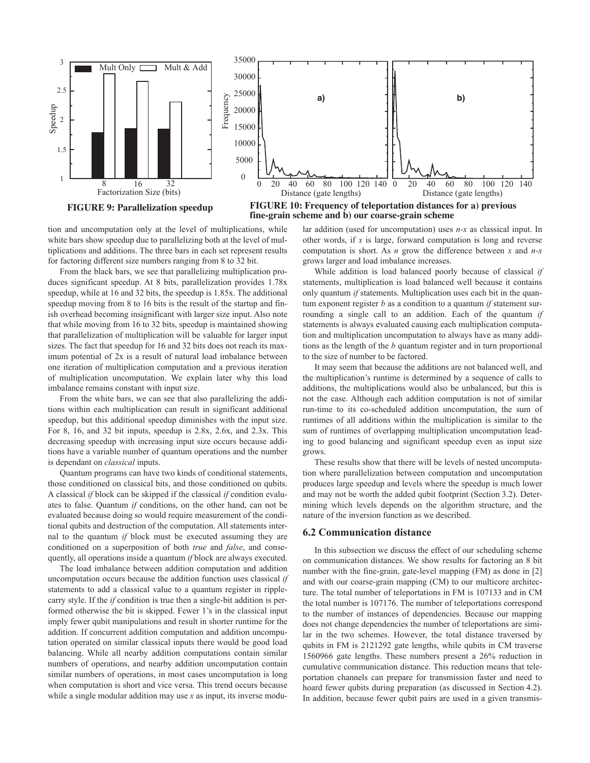

**FIGURE 9: Parallelization speedup**

**FIGURE 10: Frequency of teleportation distances for a) previous fine-grain scheme and b) our coarse-grain scheme**

tion and uncomputation only at the level of multiplications, while white bars show speedup due to parallelizing both at the level of multiplications and additions. The three bars in each set represent results for factoring different size numbers ranging from 8 to 32 bit.

From the black bars, we see that parallelizing multiplication produces significant speedup. At 8 bits, parallelization provides 1.78x speedup, while at 16 and 32 bits, the speedup is 1.85x. The additional speedup moving from 8 to 16 bits is the result of the startup and finish overhead becoming insignificant with larger size input. Also note that while moving from 16 to 32 bits, speedup is maintained showing that parallelization of multiplication will be valuable for larger input sizes. The fact that speedup for 16 and 32 bits does not reach its maximum potential of 2x is a result of natural load imbalance between one iteration of multiplication computation and a previous iteration of multiplication uncomputation. We explain later why this load imbalance remains constant with input size.

From the white bars, we can see that also parallelizing the additions within each multiplication can result in significant additional speedup, but this additional speedup diminishes with the input size. For 8, 16, and 32 bit inputs, speedup is 2.8x, 2.6x, and 2.3x. This decreasing speedup with increasing input size occurs because additions have a variable number of quantum operations and the number is dependant on *classical* inputs.

Quantum programs can have two kinds of conditional statements, those conditioned on classical bits, and those conditioned on qubits. A classical *if* block can be skipped if the classical *if* condition evaluates to false. Quantum *if* conditions, on the other hand, can not be evaluated because doing so would require measurement of the conditional qubits and destruction of the computation. All statements internal to the quantum *if* block must be executed assuming they are conditioned on a superposition of both *true* and *false*, and consequently, all operations inside a quantum *if* block are always executed.

The load imbalance between addition computation and addition uncomputation occurs because the addition function uses classical *if* statements to add a classical value to a quantum register in ripplecarry style. If the *if* condition is true then a single-bit addition is performed otherwise the bit is skipped. Fewer 1's in the classical input imply fewer qubit manipulations and result in shorter runtime for the addition. If concurrent addition computation and addition uncomputation operated on similar classical inputs there would be good load balancing. While all nearby addition computations contain similar numbers of operations, and nearby addition uncomputation contain similar numbers of operations, in most cases uncomputation is long when computation is short and vice versa. This trend occurs because while a single modular addition may use *x* as input, its inverse modular addition (used for uncomputation) uses *n-x* as classical input. In other words, if *x* is large, forward computation is long and reverse computation is short. As *n* grow the difference between *x* and *n*-*x* grows larger and load imbalance increases.

While addition is load balanced poorly because of classical *if* statements, multiplication is load balanced well because it contains only quantum *if* statements. Multiplication uses each bit in the quantum exponent register *b* as a condition to a quantum *if* statement surrounding a single call to an addition. Each of the quantum *if* statements is always evaluated causing each multiplication computation and multiplication uncomputation to always have as many additions as the length of the *b* quantum register and in turn proportional to the size of number to be factored.

It may seem that because the additions are not balanced well, and the multiplication's runtime is determined by a sequence of calls to additions, the multiplications would also be unbalanced, but this is not the case. Although each addition computation is not of similar run-time to its co-scheduled addition uncomputation, the sum of runtimes of all additions within the multiplication is similar to the sum of runtimes of overlapping multiplication uncomputation leading to good balancing and significant speedup even as input size grows.

These results show that there will be levels of nested uncomputation where parallelization between computation and uncomputation produces large speedup and levels where the speedup is much lower and may not be worth the added qubit footprint (Section 3.2). Determining which levels depends on the algorithm structure, and the nature of the inversion function as we described.

## **6.2 Communication distance**

In this subsection we discuss the effect of our scheduling scheme on communication distances. We show results for factoring an 8 bit number with the fine-grain, gate-level mapping (FM) as done in [2] and with our coarse-grain mapping (CM) to our multicore architecture. The total number of teleportations in FM is 107133 and in CM the total number is 107176. The number of teleportations correspond to the number of instances of dependencies. Because our mapping does not change dependencies the number of teleportations are similar in the two schemes. However, the total distance traversed by qubits in FM is 2121292 gate lengths, while qubits in CM traverse 1560966 gate lengths. These numbers present a 26% reduction in cumulative communication distance. This reduction means that teleportation channels can prepare for transmission faster and need to hoard fewer qubits during preparation (as discussed in Section 4.2). In addition, because fewer qubit pairs are used in a given transmis